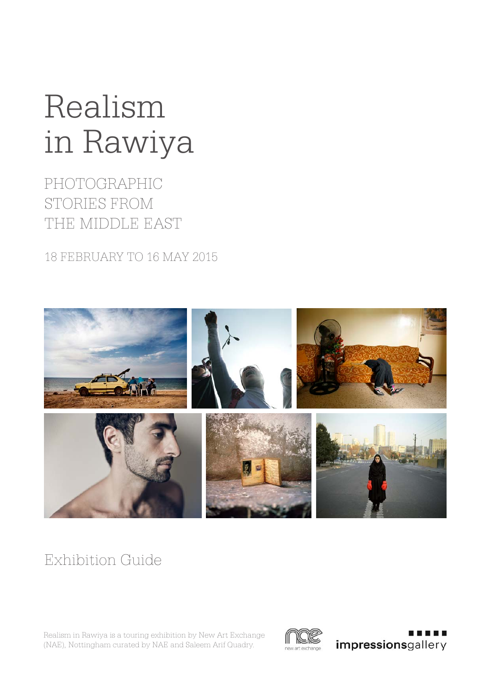# in Rawiya Realism

PHOTOGRAPHIC STORIES FROM THE MIDDLE EAST

18 FEBRUARY TO 16 MAY 2015



# Exhibition Guide

Realism in Rawiya is a touring exhibition by New Art Exchange (NAE), Nottingham curated by NAE and Saleem Arif Quadry.



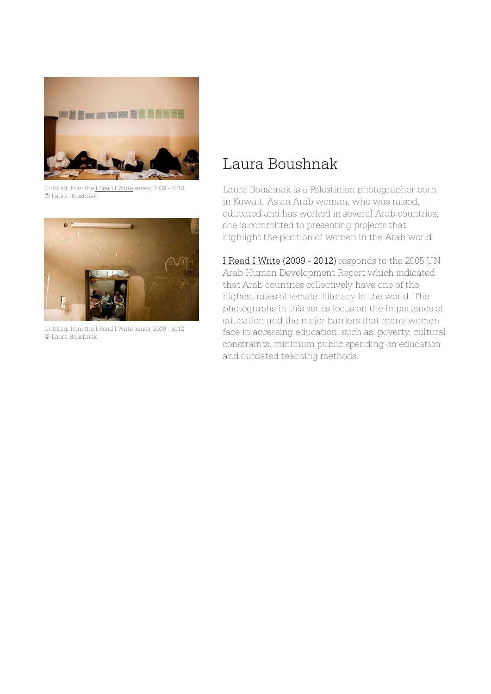

Untitled, from the I Read I Write series, 2009 - 2012 © Laura Boushnak



Untitled, from the I Read I Write series, 2009 - 2012 © Laura Boushnak

### Laura Boushnak

Laura Boushnak is a Palestinian photographer born in Kuwait. As an Arab woman, who was raised, educated and has worked in several Arab countries, she is committed to presenting projects that highlight the position of women in the Arab world.

I Read I Write (2009 - 2012) responds to the 2005 UN Arab Human Development Report which indicated that Arab countries collectively have one of the highest rates of female illiteracy in the world. The photographs in this series focus on the importance of education and the major barriers that many women face in accessing education, such as: poverty, cultural constraints, minimum public spending on education and outdated teaching methods.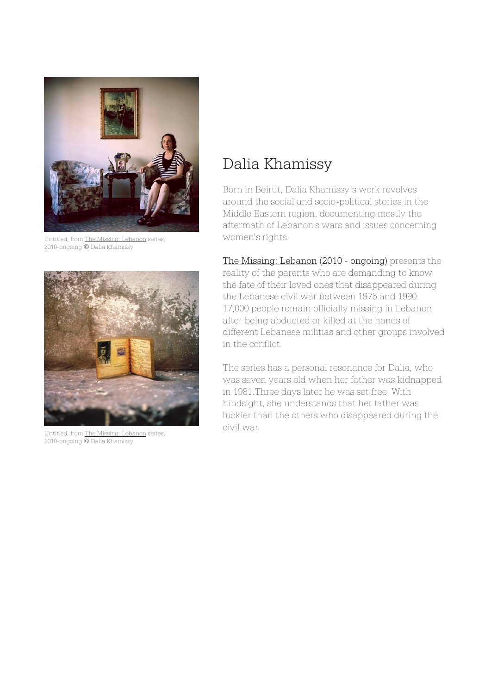

Untitled, from The Missing: Lebanon series, 2010-ongoing © Dalia Khamissy



Untitled, from The Missing: Lebanon series, 2010-ongoing © Dalia Khamissy

## Dalia Khamissy

Born in Beirut, Dalia Khamissy's work revolves around the social and socio-political stories in the Middle Eastern region, documenting mostly the aftermath of Lebanon's wars and issues concerning women's rights.

The Missing: Lebanon (2010 - ongoing) presents the reality of the parents who are demanding to know the fate of their loved ones that disappeared during the Lebanese civil war between 1975 and 1990. 17,000 people remain officially missing in Lebanon after being abducted or killed at the hands of different Lebanese militias and other groups involved in the conflict.

The series has a personal resonance for Dalia, who was seven years old when her father was kidnapped in 1981.Three days later he was set free. With hindsight, she understands that her father was luckier than the others who disappeared during the civil war.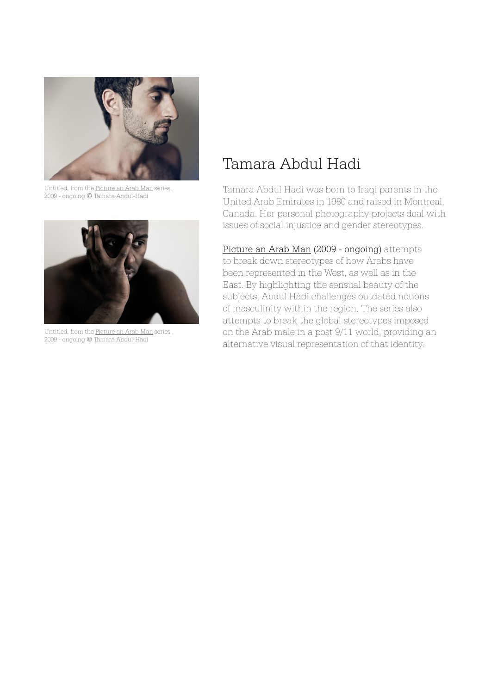

Untitled, from the Picture an Arab Man series, 2009 - ongoing © Tamara Abdul-Hadi



Untitled, from the Picture an Arab Man series, 2009 - ongoing © Tamara Abdul-Hadi

### Tamara Abdul Hadi

Tamara Abdul Hadi was born to Iraqi parents in the United Arab Emirates in 1980 and raised in Montreal, Canada. Her personal photography projects deal with issues of social injustice and gender stereotypes.

Picture an Arab Man (2009 - ongoing) attempts to break down stereotypes of how Arabs have been represented in the West, as well as in the East. By highlighting the sensual beauty of the subjects, Abdul Hadi challenges outdated notions of masculinity within the region. The series also attempts to break the global stereotypes imposed on the Arab male in a post 9/11 world, providing an alternative visual representation of that identity.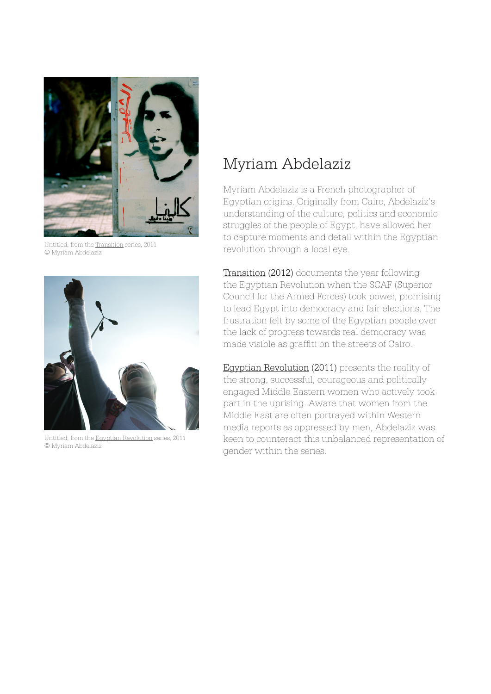

Untitled, from the Transition series, 2011 © Myriam Abdelaziz



Untitled, from the Egyptian Revolution series, 2011 © Myriam Abdelaziz

### Myriam Abdelaziz

Myriam Abdelaziz is a French photographer of Egyptian origins. Originally from Cairo, Abdelaziz's understanding of the culture, politics and economic struggles of the people of Egypt, have allowed her to capture moments and detail within the Egyptian revolution through a local eye.

Transition (2012) documents the year following the Egyptian Revolution when the SCAF (Superior Council for the Armed Forces) took power, promising to lead Egypt into democracy and fair elections. The frustration felt by some of the Egyptian people over the lack of progress towards real democracy was made visible as graffiti on the streets of Cairo.

Egyptian Revolution (2011) presents the reality of the strong, successful, courageous and politically engaged Middle Eastern women who actively took part in the uprising. Aware that women from the Middle East are often portrayed within Western media reports as oppressed by men, Abdelaziz was keen to counteract this unbalanced representation of gender within the series.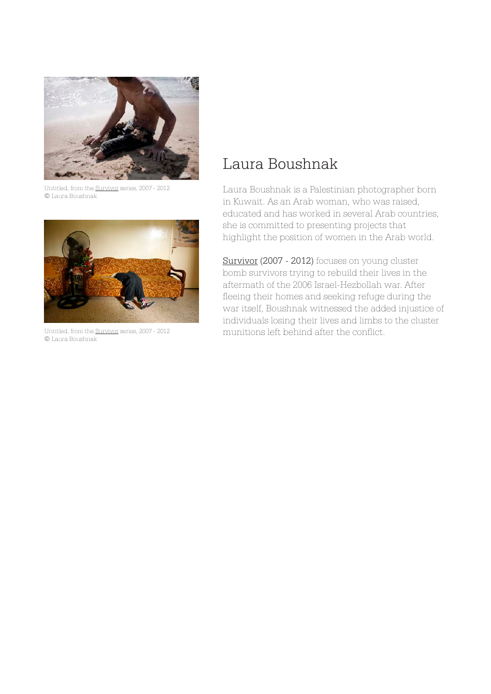

Untitled, from the Survivor series, 2007 - 2012 © Laura Boushnak



© Laura Boushnak

### Laura Boushnak

Laura Boushnak is a Palestinian photographer born in Kuwait. As an Arab woman, who was raised, educated and has worked in several Arab countries, she is committed to presenting projects that highlight the position of women in the Arab world.

Survivor (2007 - 2012) focuses on young cluster bomb survivors trying to rebuild their lives in the aftermath of the 2006 Israel-Hezbollah war. After fleeing their homes and seeking refuge during the war itself, Boushnak witnessed the added injustice of individuals losing their lives and limbs to the cluster Untitled, from the Survivor series, 2007 - 2012 munitions left behind after the conflict.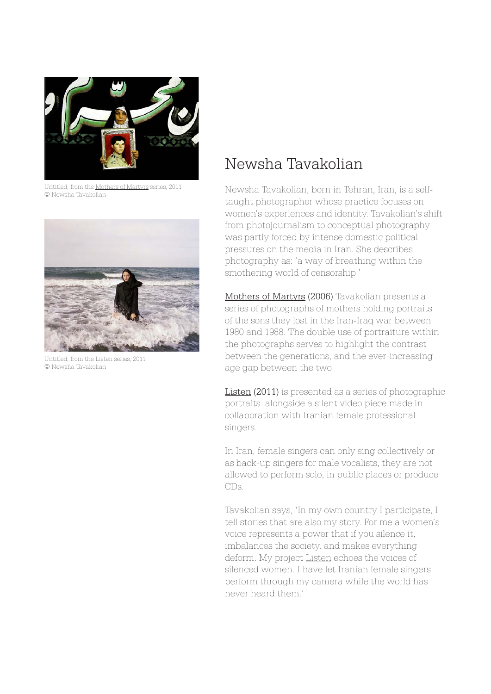

Untitled, from the Mothers of Martyrs series, 2011 © Newsha Tavakolian



Untitled, from the Listen series, 2011 © Newsha Tavakolian

### Newsha Tavakolian

Newsha Tavakolian, born in Tehran, Iran, is a selftaught photographer whose practice focuses on women's experiences and identity. Tavakolian's shift from photojournalism to conceptual photography was partly forced by intense domestic political pressures on the media in Iran. She describes photography as: 'a way of breathing within the smothering world of censorship.'

Mothers of Martyrs (2006) Tavakolian presents a series of photographs of mothers holding portraits of the sons they lost in the Iran-Iraq war between 1980 and 1988. The double use of portraiture within the photographs serves to highlight the contrast between the generations, and the ever-increasing age gap between the two.

Listen (2011) is presented as a series of photographic portraits alongside a silent video piece made in collaboration with Iranian female professional singers.

In Iran, female singers can only sing collectively or as back-up singers for male vocalists, they are not allowed to perform solo, in public places or produce CDs.

Tavakolian says, 'In my own country I participate, I tell stories that are also my story. For me a women's voice represents a power that if you silence it, imbalances the society, and makes everything deform. My project Listen echoes the voices of silenced women. I have let Iranian female singers perform through my camera while the world has never heard them.'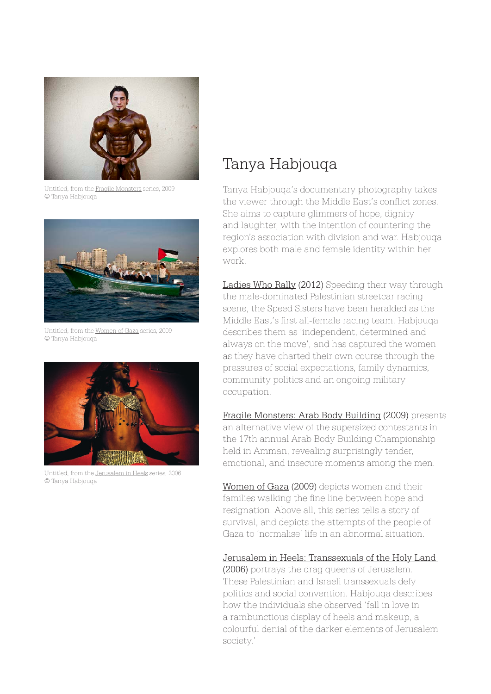

Untitled, from the Fragile Monsters series, 2009 © Tanya Habjouqa



Untitled, from the Women of Gaza series, 2009 © Tanya Habjouqa



Untitled, from the Jerusalem in Heels series, 2006 © Tanya Habjouqa

### Tanya Habjouqa

Tanya Habjouqa's documentary photography takes the viewer through the Middle East's conflict zones. She aims to capture glimmers of hope, dignity and laughter, with the intention of countering the region's association with division and war. Habjouqa explores both male and female identity within her work.

Ladies Who Rally (2012) Speeding their way through the male-dominated Palestinian streetcar racing scene, the Speed Sisters have been heralded as the Middle East's first all-female racing team. Habjouqa describes them as 'independent, determined and always on the move', and has captured the women as they have charted their own course through the pressures of social expectations, family dynamics, community politics and an ongoing military occupation.

Fragile Monsters: Arab Body Building (2009) presents an alternative view of the supersized contestants in the 17th annual Arab Body Building Championship held in Amman, revealing surprisingly tender, emotional, and insecure moments among the men.

Women of Gaza (2009) depicts women and their families walking the fine line between hope and resignation. Above all, this series tells a story of survival, and depicts the attempts of the people of Gaza to 'normalise' life in an abnormal situation.

#### Jerusalem in Heels: Transsexuals of the Holy Land

(2006) portrays the drag queens of Jerusalem. These Palestinian and Israeli transsexuals defy politics and social convention. Habjouqa describes how the individuals she observed 'fall in love in a rambunctious display of heels and makeup, a colourful denial of the darker elements of Jerusalem society.'